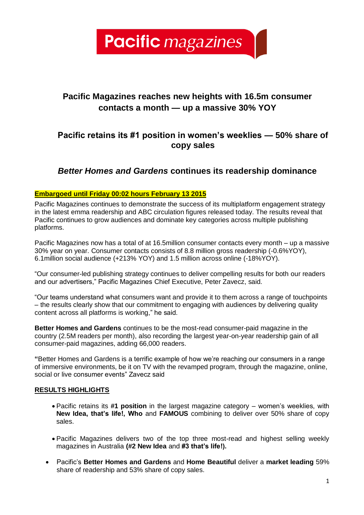**Pacific** magazines

# **Pacific Magazines reaches new heights with 16.5m consumer contacts a month — up a massive 30% YOY**

## **Pacific retains its #1 position in women's weeklies — 50% share of copy sales**

## *Better Homes and Gardens* **continues its readership dominance**

## **Embargoed until Friday 00:02 hours February 13 2015**

Pacific Magazines continues to demonstrate the success of its multiplatform engagement strategy in the latest emma readership and ABC circulation figures released today. The results reveal that Pacific continues to grow audiences and dominate key categories across multiple publishing platforms.

Pacific Magazines now has a total of at 16.5million consumer contacts every month – up a massive 30% year on year. Consumer contacts consists of 8.8 million gross readership (-0.6%YOY), 6.1million social audience (+213% YOY) and 1.5 million across online (-18%YOY).

"Our consumer-led publishing strategy continues to deliver compelling results for both our readers and our advertisers," Pacific Magazines Chief Executive, Peter Zavecz, said.

"Our teams understand what consumers want and provide it to them across a range of touchpoints – the results clearly show that our commitment to engaging with audiences by delivering quality content across all platforms is working," he said.

**Better Homes and Gardens** continues to be the most-read consumer-paid magazine in the country (2.5M readers per month), also recording the largest year-on-year readership gain of all consumer-paid magazines, adding 66,000 readers.

**"**Better Homes and Gardens is a terrific example of how we're reaching our consumers in a range of immersive environments, be it on TV with the revamped program, through the magazine, online, social or live consumer events" Zavecz said

## **RESULTS HIGHLIGHTS**

- Pacific retains its **#1 position** in the largest magazine category women's weeklies, with **New Idea, that's life!, Who** and **FAMOUS** combining to deliver over 50% share of copy sales.
- Pacific Magazines delivers two of the top three most-read and highest selling weekly magazines in Australia **(#2 New Idea** and **#3 that's life!).**
- Pacific's **Better Homes and Gardens** and **Home Beautiful** deliver a **market leading** 59% share of readership and 53% share of copy sales.